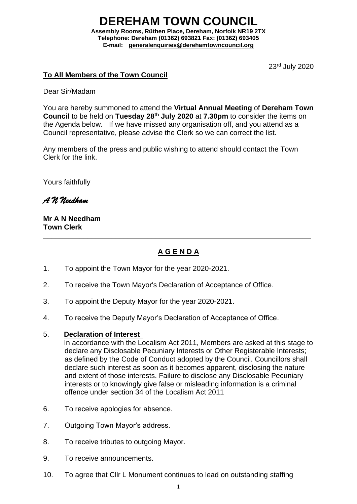### **DEREHAM TOWN COUNCI Assembly Rooms, Rüthen Place, Dereham, Norfolk NR19 2TX Telephone: Dereham (01362) 693821 Fax: (01362) 693405**

**E-mail: [generalenquiries@derehamtowncouncil.org](mailto:generalenquiries@derehamtowncouncil.org)**

23rd July 2020

## **To All Members of the Town Council**

Dear Sir/Madam

You are hereby summoned to attend the **Virtual Annual Meeting** of **Dereham Town Council** to be held on **Tuesday 28th July 2020** at **7.30pm** to consider the items on the Agenda below. If we have missed any organisation off, and you attend as a Council representative, please advise the Clerk so we can correct the list.

Any members of the press and public wishing to attend should contact the Town Clerk for the link.

Yours faithfully

*A N Needham*

**Mr A N Needham Town Clerk**

# **A G E N D A**

\_\_\_\_\_\_\_\_\_\_\_\_\_\_\_\_\_\_\_\_\_\_\_\_\_\_\_\_\_\_\_\_\_\_\_\_\_\_\_\_\_\_\_\_\_\_\_\_\_\_\_\_\_\_\_\_\_\_\_\_\_\_\_\_\_\_\_

- 1. To appoint the Town Mayor for the year 2020-2021.
- 2. To receive the Town Mayor's Declaration of Acceptance of Office.
- 3. To appoint the Deputy Mayor for the year 2020-2021.
- 4. To receive the Deputy Mayor's Declaration of Acceptance of Office.

#### 5. **Declaration of Interest**

In accordance with the Localism Act 2011, Members are asked at this stage to declare any Disclosable Pecuniary Interests or Other Registerable Interests; as defined by the Code of Conduct adopted by the Council. Councillors shall declare such interest as soon as it becomes apparent, disclosing the nature and extent of those interests. Failure to disclose any Disclosable Pecuniary interests or to knowingly give false or misleading information is a criminal offence under section 34 of the Localism Act 2011

- 6. To receive apologies for absence.
- 7. Outgoing Town Mayor's address.
- 8. To receive tributes to outgoing Mayor.
- 9. To receive announcements.
- 10. To agree that Cllr L Monument continues to lead on outstanding staffing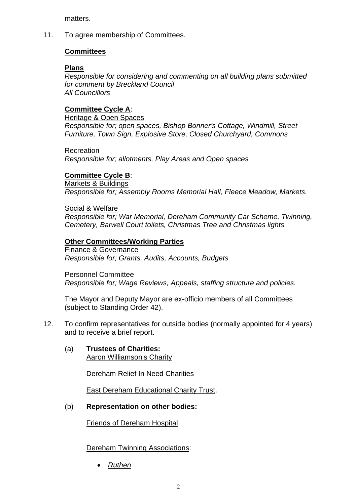matters.

11. To agree membership of Committees.

## **Committees**

## **Plans**

*Responsible for considering and commenting on all building plans submitted for comment by Breckland Council All Councillors*

## **Committee Cycle A**:

Heritage & Open Spaces *Responsible for; open spaces, Bishop Bonner's Cottage, Windmill, Street Furniture, Town Sign, Explosive Store, Closed Churchyard, Commons*

**Recreation** 

*Responsible for; allotments, Play Areas and Open spaces*

## **Committee Cycle B**:

Markets & Buildings *Responsible for; Assembly Rooms Memorial Hall, Fleece Meadow, Markets.*

Social & Welfare *Responsible for; War Memorial, Dereham Community Car Scheme, Twinning, Cemetery, Barwell Court toilets, Christmas Tree and Christmas lights.*

## **Other Committees/Working Parties**

Finance & Governance *Responsible for; Grants, Audits, Accounts, Budgets*

Personnel Committee *Responsible for; Wage Reviews, Appeals, staffing structure and policies.*

The Mayor and Deputy Mayor are ex-officio members of all Committees (subject to Standing Order 42).

- 12. To confirm representatives for outside bodies (normally appointed for 4 years) and to receive a brief report.
	- (a) **Trustees of Charities:** Aaron Williamson's Charity

Dereham Relief In Need Charities

East Dereham Educational Charity Trust.

## (b) **Representation on other bodies:**

Friends of Dereham Hospital

## Dereham Twinning Associations:

• *Ruthen*